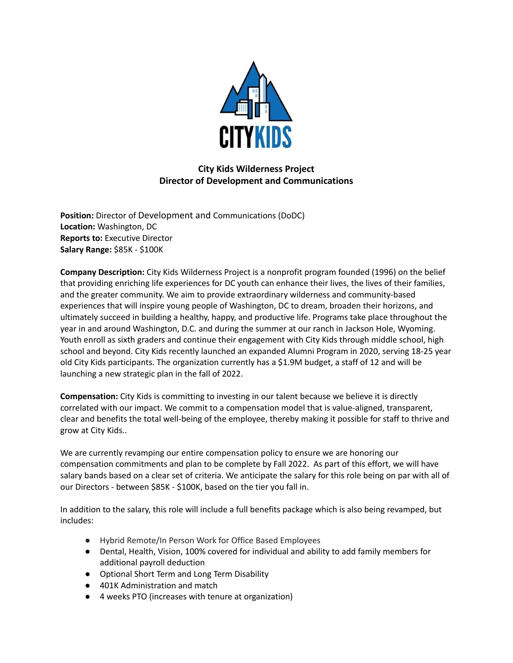

# **City Kids Wilderness Project Director of Development and Communications**

**Position:** Director of Development and Communications (DoDC) **Location:** Washington, DC **Reports to:** Executive Director **Salary Range:** \$85K - \$100K

**Company Description:** City Kids Wilderness Project is a nonprofit program founded (1996) on the belief that providing enriching life experiences for DC youth can enhance their lives, the lives of their families, and the greater community. We aim to provide extraordinary wilderness and community-based experiences that will inspire young people of Washington, DC to dream, broaden their horizons, and ultimately succeed in building a healthy, happy, and productive life. Programs take place throughout the year in and around Washington, D.C. and during the summer at our ranch in Jackson Hole, Wyoming. Youth enroll as sixth graders and continue their engagement with City Kids through middle school, high school and beyond. City Kids recently launched an expanded Alumni Program in 2020, serving 18-25 year old City Kids participants. The organization currently has a \$1.9M budget, a staff of 12 and will be launching a new strategic plan in the fall of 2022.

**Compensation:** City Kids is committing to investing in our talent because we believe it is directly correlated with our impact. We commit to a compensation model that is value-aligned, transparent, clear and benefits the total well-being of the employee, thereby making it possible for staff to thrive and grow at City Kids..

We are currently revamping our entire compensation policy to ensure we are honoring our compensation commitments and plan to be complete by Fall 2022. As part of this effort, we will have salary bands based on a clear set of criteria. We anticipate the salary for this role being on par with all of our Directors - between \$85K - \$100K, based on the tier you fall in.

In addition to the salary, this role will include a full benefits package which is also being revamped, but includes:

- Hybrid Remote/In Person Work for Office Based Employees
- Dental, Health, Vision, 100% covered for individual and ability to add family members for additional payroll deduction
- Optional Short Term and Long Term Disability
- 401K Administration and match
- 4 weeks PTO (increases with tenure at organization)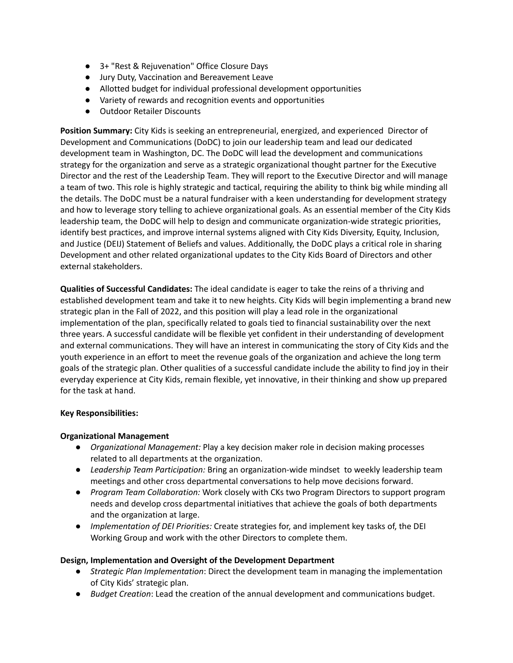- 3+ "Rest & Rejuvenation" Office Closure Days
- Jury Duty, Vaccination and Bereavement Leave
- Allotted budget for individual professional development opportunities
- Variety of rewards and recognition events and opportunities
- Outdoor Retailer Discounts

**Position Summary:** City Kids is seeking an entrepreneurial, energized, and experienced Director of Development and Communications (DoDC) to join our leadership team and lead our dedicated development team in Washington, DC. The DoDC will lead the development and communications strategy for the organization and serve as a strategic organizational thought partner for the Executive Director and the rest of the Leadership Team. They will report to the Executive Director and will manage a team of two. This role is highly strategic and tactical, requiring the ability to think big while minding all the details. The DoDC must be a natural fundraiser with a keen understanding for development strategy and how to leverage story telling to achieve organizational goals. As an essential member of the City Kids leadership team, the DoDC will help to design and communicate organization-wide strategic priorities, identify best practices, and improve internal systems aligned with City Kids Diversity, Equity, Inclusion, and Justice (DEIJ) Statement of Beliefs and values. Additionally, the DoDC plays a critical role in sharing Development and other related organizational updates to the City Kids Board of Directors and other external stakeholders.

**Qualities of Successful Candidates:** The ideal candidate is eager to take the reins of a thriving and established development team and take it to new heights. City Kids will begin implementing a brand new strategic plan in the Fall of 2022, and this position will play a lead role in the organizational implementation of the plan, specifically related to goals tied to financial sustainability over the next three years. A successful candidate will be flexible yet confident in their understanding of development and external communications. They will have an interest in communicating the story of City Kids and the youth experience in an effort to meet the revenue goals of the organization and achieve the long term goals of the strategic plan. Other qualities of a successful candidate include the ability to find joy in their everyday experience at City Kids, remain flexible, yet innovative, in their thinking and show up prepared for the task at hand.

### **Key Responsibilities:**

### **Organizational Management**

- *Organizational Management:* Play a key decision maker role in decision making processes related to all departments at the organization.
- *Leadership Team Participation:* Bring an organization-wide mindset to weekly leadership team meetings and other cross departmental conversations to help move decisions forward.
- *Program Team Collaboration:* Work closely with CKs two Program Directors to support program needs and develop cross departmental initiatives that achieve the goals of both departments and the organization at large.
- *● Implementation of DEI Priorities:* Create strategies for, and implement key tasks of, the DEI Working Group and work with the other Directors to complete them.

#### **Design, Implementation and Oversight of the Development Department**

- *Strategic Plan Implementation*: Direct the development team in managing the implementation of City Kids' strategic plan.
- *Budget Creation*: Lead the creation of the annual development and communications budget.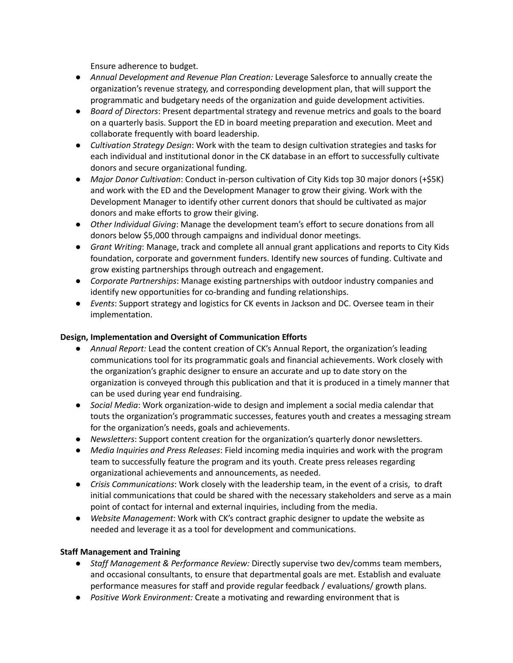Ensure adherence to budget.

- *Annual Development and Revenue Plan Creation:* Leverage Salesforce to annually create the organization's revenue strategy, and corresponding development plan, that will support the programmatic and budgetary needs of the organization and guide development activities.
- *Board of Directors*: Present departmental strategy and revenue metrics and goals to the board on a quarterly basis. Support the ED in board meeting preparation and execution. Meet and collaborate frequently with board leadership.
- *Cultivation Strategy Design*: Work with the team to design cultivation strategies and tasks for each individual and institutional donor in the CK database in an effort to successfully cultivate donors and secure organizational funding.
- *Major Donor Cultivation*: Conduct in-person cultivation of City Kids top 30 major donors (+\$5K) and work with the ED and the Development Manager to grow their giving. Work with the Development Manager to identify other current donors that should be cultivated as major donors and make efforts to grow their giving.
- *Other Individual Giving*: Manage the development team's effort to secure donations from all donors below \$5,000 through campaigns and individual donor meetings.
- *Grant Writing*: Manage, track and complete all annual grant applications and reports to City Kids foundation, corporate and government funders. Identify new sources of funding. Cultivate and grow existing partnerships through outreach and engagement.
- *Corporate Partnerships*: Manage existing partnerships with outdoor industry companies and identify new opportunities for co-branding and funding relationships.
- *Events*: Support strategy and logistics for CK events in Jackson and DC. Oversee team in their implementation.

## **Design, Implementation and Oversight of Communication Efforts**

- *Annual Report:* Lead the content creation of CK's Annual Report, the organization's leading communications tool for its programmatic goals and financial achievements. Work closely with the organization's graphic designer to ensure an accurate and up to date story on the organization is conveyed through this publication and that it is produced in a timely manner that can be used during year end fundraising.
- *Social Media*: Work organization-wide to design and implement a social media calendar that touts the organization's programmatic successes, features youth and creates a messaging stream for the organization's needs, goals and achievements.
- *Newsletters*: Support content creation for the organization's quarterly donor newsletters.
- *Media Inquiries and Press Releases*: Field incoming media inquiries and work with the program team to successfully feature the program and its youth. Create press releases regarding organizational achievements and announcements, as needed.
- *Crisis Communications*: Work closely with the leadership team, in the event of a crisis, to draft initial communications that could be shared with the necessary stakeholders and serve as a main point of contact for internal and external inquiries, including from the media.
- *Website Management*: Work with CK's contract graphic designer to update the website as needed and leverage it as a tool for development and communications.

## **Staff Management and Training**

- *Staff Management & Performance Review:* Directly supervise two dev/comms team members, and occasional consultants, to ensure that departmental goals are met. Establish and evaluate performance measures for staff and provide regular feedback / evaluations/ growth plans.
- *Positive Work Environment:* Create a motivating and rewarding environment that is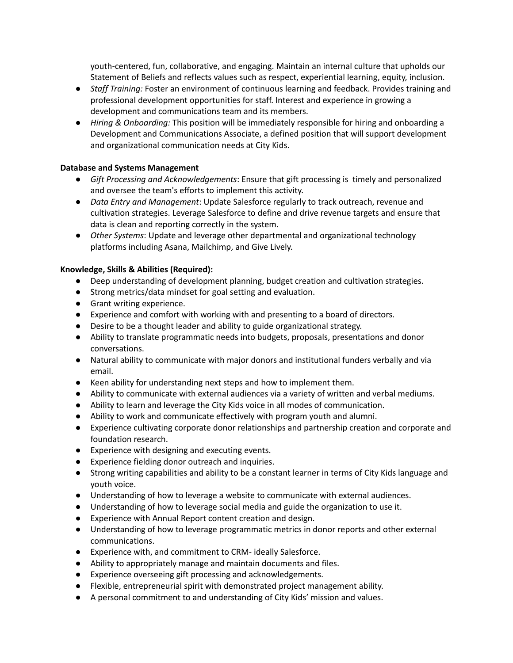youth-centered, fun, collaborative, and engaging. Maintain an internal culture that upholds our Statement of Beliefs and reflects values such as respect, experiential learning, equity, inclusion.

- *Staff Training:* Foster an environment of continuous learning and feedback. Provides training and professional development opportunities for staff. Interest and experience in growing a development and communications team and its members.
- *Hiring & Onboarding:* This position will be immediately responsible for hiring and onboarding a Development and Communications Associate, a defined position that will support development and organizational communication needs at City Kids.

### **Database and Systems Management**

- *Gift Processing and Acknowledgements*: Ensure that gift processing is timely and personalized and oversee the team's efforts to implement this activity.
- *Data Entry and Management*: Update Salesforce regularly to track outreach, revenue and cultivation strategies. Leverage Salesforce to define and drive revenue targets and ensure that data is clean and reporting correctly in the system.
- *Other Systems*: Update and leverage other departmental and organizational technology platforms including Asana, Mailchimp, and Give Lively.

### **Knowledge, Skills & Abilities (Required):**

- Deep understanding of development planning, budget creation and cultivation strategies.
- Strong metrics/data mindset for goal setting and evaluation.
- Grant writing experience.
- Experience and comfort with working with and presenting to a board of directors.
- Desire to be a thought leader and ability to guide organizational strategy.
- Ability to translate programmatic needs into budgets, proposals, presentations and donor conversations.
- Natural ability to communicate with major donors and institutional funders verbally and via email.
- Keen ability for understanding next steps and how to implement them.
- Ability to communicate with external audiences via a variety of written and verbal mediums.
- Ability to learn and leverage the City Kids voice in all modes of communication.
- Ability to work and communicate effectively with program youth and alumni.
- Experience cultivating corporate donor relationships and partnership creation and corporate and foundation research.
- Experience with designing and executing events.
- Experience fielding donor outreach and inquiries.
- Strong writing capabilities and ability to be a constant learner in terms of City Kids language and youth voice.
- Understanding of how to leverage a website to communicate with external audiences.
- Understanding of how to leverage social media and guide the organization to use it.
- Experience with Annual Report content creation and design.
- Understanding of how to leverage programmatic metrics in donor reports and other external communications.
- Experience with, and commitment to CRM- ideally Salesforce.
- Ability to appropriately manage and maintain documents and files.
- Experience overseeing gift processing and acknowledgements.
- Flexible, entrepreneurial spirit with demonstrated project management ability.
- A personal commitment to and understanding of City Kids' mission and values.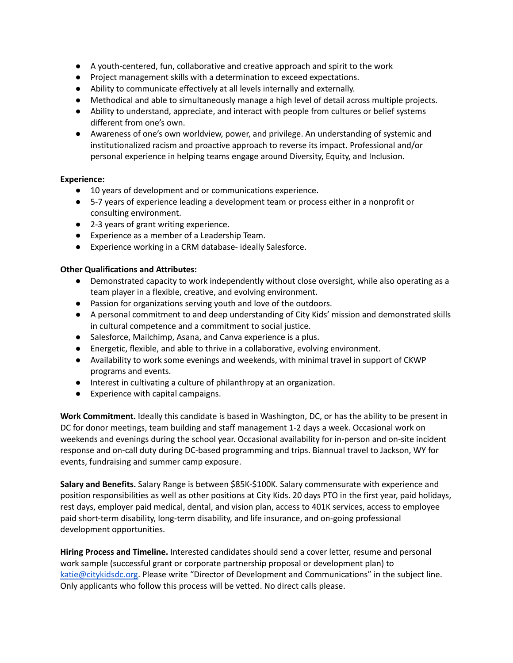- A youth-centered, fun, collaborative and creative approach and spirit to the work
- Project management skills with a determination to exceed expectations.
- Ability to communicate effectively at all levels internally and externally.
- Methodical and able to simultaneously manage a high level of detail across multiple projects.
- Ability to understand, appreciate, and interact with people from cultures or belief systems different from one's own.
- Awareness of one's own worldview, power, and privilege. An understanding of systemic and institutionalized racism and proactive approach to reverse its impact. Professional and/or personal experience in helping teams engage around Diversity, Equity, and Inclusion.

## **Experience:**

- 10 years of development and or communications experience.
- 5-7 years of experience leading a development team or process either in a nonprofit or consulting environment.
- 2-3 years of grant writing experience.
- Experience as a member of a Leadership Team.
- Experience working in a CRM database- ideally Salesforce.

## **Other Qualifications and Attributes:**

- Demonstrated capacity to work independently without close oversight, while also operating as a team player in a flexible, creative, and evolving environment.
- Passion for organizations serving youth and love of the outdoors.
- A personal commitment to and deep understanding of City Kids' mission and demonstrated skills in cultural competence and a commitment to social justice.
- Salesforce, Mailchimp, Asana, and Canva experience is a plus.
- Energetic, flexible, and able to thrive in a collaborative, evolving environment.
- Availability to work some evenings and weekends, with minimal travel in support of CKWP programs and events.
- Interest in cultivating a culture of philanthropy at an organization.
- Experience with capital campaigns.

**Work Commitment.** Ideally this candidate is based in Washington, DC, or has the ability to be present in DC for donor meetings, team building and staff management 1-2 days a week. Occasional work on weekends and evenings during the school year. Occasional availability for in-person and on-site incident response and on-call duty during DC-based programming and trips. Biannual travel to Jackson, WY for events, fundraising and summer camp exposure.

**Salary and Benefits.** Salary Range is between \$85K-\$100K. Salary commensurate with experience and position responsibilities as well as other positions at City Kids. 20 days PTO in the first year, paid holidays, rest days, employer paid medical, dental, and vision plan, access to 401K services, access to employee paid short-term disability, long-term disability, and life insurance, and on-going professional development opportunities.

**Hiring Process and Timeline.** Interested candidates should send a cover letter, resume and personal work sample (successful grant or corporate partnership proposal or development plan) to [katie@citykidsdc.org.](mailto:katie@citykidsdc.org) Please write "Director of Development and Communications" in the subject line. Only applicants who follow this process will be vetted. No direct calls please.